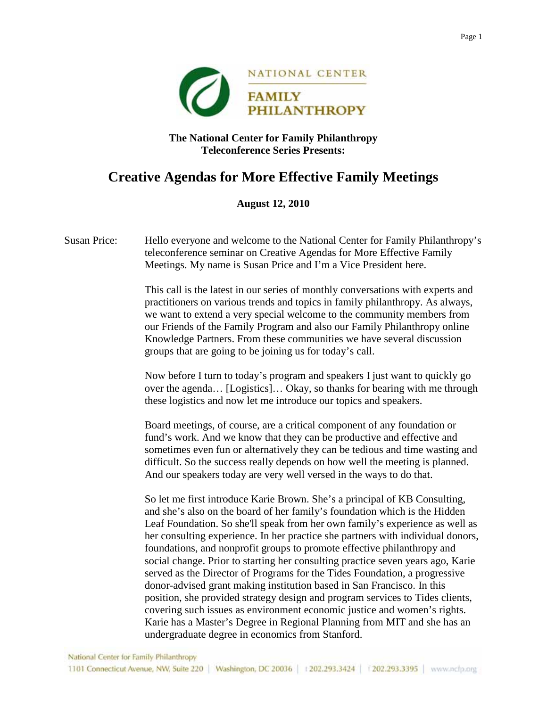

## **The National Center for Family Philanthropy Teleconference Series Presents:**

## **Creative Agendas for More Effective Family Meetings**

## **August 12, 2010**

Susan Price: Hello everyone and welcome to the National Center for Family Philanthropy's teleconference seminar on Creative Agendas for More Effective Family Meetings. My name is Susan Price and I'm a Vice President here.

> This call is the latest in our series of monthly conversations with experts and practitioners on various trends and topics in family philanthropy. As always, we want to extend a very special welcome to the community members from our Friends of the Family Program and also our Family Philanthropy online Knowledge Partners. From these communities we have several discussion groups that are going to be joining us for today's call.

Now before I turn to today's program and speakers I just want to quickly go over the agenda… [Logistics]… Okay, so thanks for bearing with me through these logistics and now let me introduce our topics and speakers.

Board meetings, of course, are a critical component of any foundation or fund's work. And we know that they can be productive and effective and sometimes even fun or alternatively they can be tedious and time wasting and difficult. So the success really depends on how well the meeting is planned. And our speakers today are very well versed in the ways to do that.

So let me first introduce Karie Brown. She's a principal of KB Consulting, and she's also on the board of her family's foundation which is the Hidden Leaf Foundation. So she'll speak from her own family's experience as well as her consulting experience. In her practice she partners with individual donors, foundations, and nonprofit groups to promote effective philanthropy and social change. Prior to starting her consulting practice seven years ago, Karie served as the Director of Programs for the Tides Foundation, a progressive donor-advised grant making institution based in San Francisco. In this position, she provided strategy design and program services to Tides clients, covering such issues as environment economic justice and women's rights. Karie has a Master's Degree in Regional Planning from MIT and she has an undergraduate degree in economics from Stanford.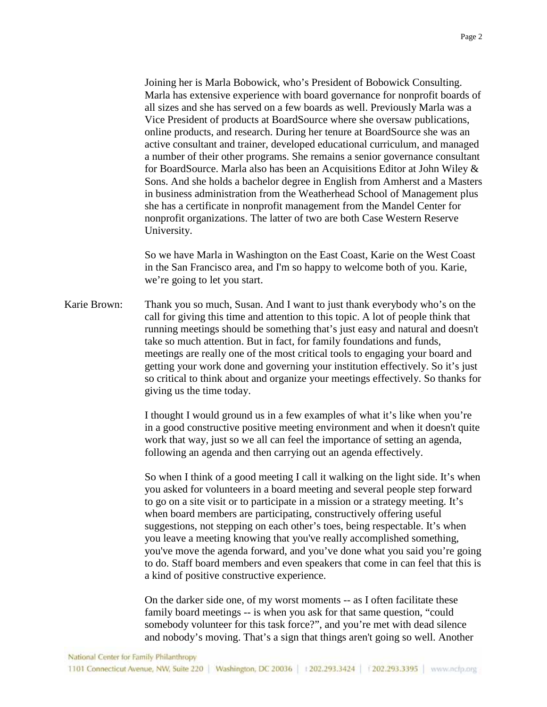Joining her is Marla Bobowick, who's President of Bobowick Consulting. Marla has extensive experience with board governance for nonprofit boards of all sizes and she has served on a few boards as well. Previously Marla was a Vice President of products at BoardSource where she oversaw publications, online products, and research. During her tenure at BoardSource she was an active consultant and trainer, developed educational curriculum, and managed a number of their other programs. She remains a senior governance consultant for BoardSource. Marla also has been an Acquisitions Editor at John Wiley & Sons. And she holds a bachelor degree in English from Amherst and a Masters in business administration from the Weatherhead School of Management plus she has a certificate in nonprofit management from the Mandel Center for nonprofit organizations. The latter of two are both Case Western Reserve University.

So we have Marla in Washington on the East Coast, Karie on the West Coast in the San Francisco area, and I'm so happy to welcome both of you. Karie, we're going to let you start.

Karie Brown: Thank you so much, Susan. And I want to just thank everybody who's on the call for giving this time and attention to this topic. A lot of people think that running meetings should be something that's just easy and natural and doesn't take so much attention. But in fact, for family foundations and funds, meetings are really one of the most critical tools to engaging your board and getting your work done and governing your institution effectively. So it's just so critical to think about and organize your meetings effectively. So thanks for giving us the time today.

> I thought I would ground us in a few examples of what it's like when you're in a good constructive positive meeting environment and when it doesn't quite work that way, just so we all can feel the importance of setting an agenda, following an agenda and then carrying out an agenda effectively.

> So when I think of a good meeting I call it walking on the light side. It's when you asked for volunteers in a board meeting and several people step forward to go on a site visit or to participate in a mission or a strategy meeting. It's when board members are participating, constructively offering useful suggestions, not stepping on each other's toes, being respectable. It's when you leave a meeting knowing that you've really accomplished something, you've move the agenda forward, and you've done what you said you're going to do. Staff board members and even speakers that come in can feel that this is a kind of positive constructive experience.

On the darker side one, of my worst moments -- as I often facilitate these family board meetings -- is when you ask for that same question, "could somebody volunteer for this task force?", and you're met with dead silence and nobody's moving. That's a sign that things aren't going so well. Another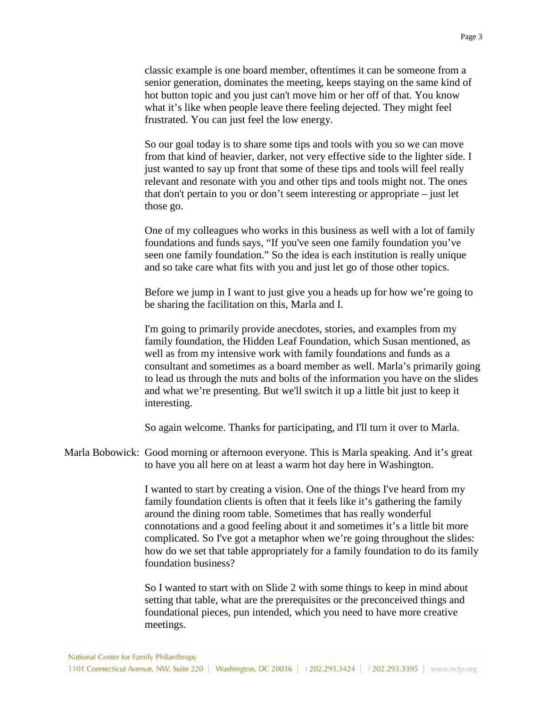classic example is one board member, oftentimes it can be someone from a senior generation, dominates the meeting, keeps staying on the same kind of hot button topic and you just can't move him or her off of that. You know what it's like when people leave there feeling dejected. They might feel frustrated. You can just feel the low energy.

So our goal today is to share some tips and tools with you so we can move from that kind of heavier, darker, not very effective side to the lighter side. I just wanted to say up front that some of these tips and tools will feel really relevant and resonate with you and other tips and tools might not. The ones that don't pertain to you or don't seem interesting or appropriate – just let those go.

One of my colleagues who works in this business as well with a lot of family foundations and funds says, "If you've seen one family foundation you've seen one family foundation." So the idea is each institution is really unique and so take care what fits with you and just let go of those other topics.

Before we jump in I want to just give you a heads up for how we're going to be sharing the facilitation on this, Marla and I.

I'm going to primarily provide anecdotes, stories, and examples from my family foundation, the Hidden Leaf Foundation, which Susan mentioned, as well as from my intensive work with family foundations and funds as a consultant and sometimes as a board member as well. Marla's primarily going to lead us through the nuts and bolts of the information you have on the slides and what we're presenting. But we'll switch it up a little bit just to keep it interesting.

So again welcome. Thanks for participating, and I'll turn it over to Marla.

Marla Bobowick: Good morning or afternoon everyone. This is Marla speaking. And it's great to have you all here on at least a warm hot day here in Washington.

> I wanted to start by creating a vision. One of the things I've heard from my family foundation clients is often that it feels like it's gathering the family around the dining room table. Sometimes that has really wonderful connotations and a good feeling about it and sometimes it's a little bit more complicated. So I've got a metaphor when we're going throughout the slides: how do we set that table appropriately for a family foundation to do its family foundation business?

So I wanted to start with on Slide 2 with some things to keep in mind about setting that table, what are the prerequisites or the preconceived things and foundational pieces, pun intended, which you need to have more creative meetings.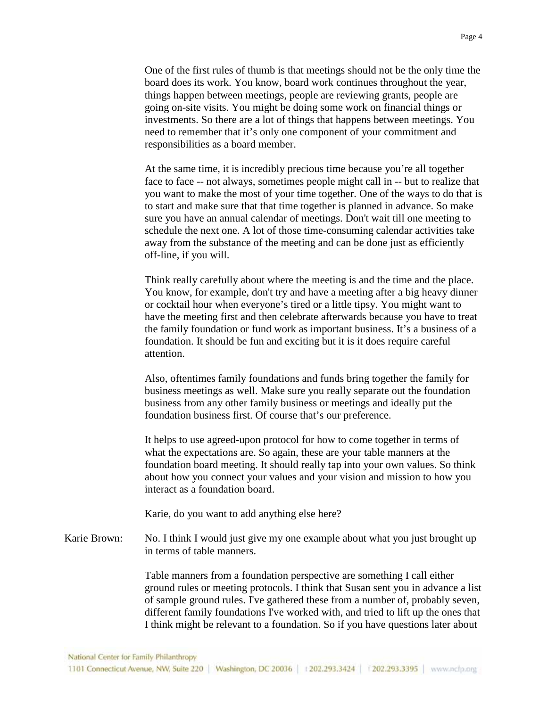One of the first rules of thumb is that meetings should not be the only time the board does its work. You know, board work continues throughout the year, things happen between meetings, people are reviewing grants, people are going on-site visits. You might be doing some work on financial things or investments. So there are a lot of things that happens between meetings. You need to remember that it's only one component of your commitment and responsibilities as a board member.

At the same time, it is incredibly precious time because you're all together face to face -- not always, sometimes people might call in -- but to realize that you want to make the most of your time together. One of the ways to do that is to start and make sure that that time together is planned in advance. So make sure you have an annual calendar of meetings. Don't wait till one meeting to schedule the next one. A lot of those time-consuming calendar activities take away from the substance of the meeting and can be done just as efficiently off-line, if you will.

Think really carefully about where the meeting is and the time and the place. You know, for example, don't try and have a meeting after a big heavy dinner or cocktail hour when everyone's tired or a little tipsy. You might want to have the meeting first and then celebrate afterwards because you have to treat the family foundation or fund work as important business. It's a business of a foundation. It should be fun and exciting but it is it does require careful attention.

Also, oftentimes family foundations and funds bring together the family for business meetings as well. Make sure you really separate out the foundation business from any other family business or meetings and ideally put the foundation business first. Of course that's our preference.

It helps to use agreed-upon protocol for how to come together in terms of what the expectations are. So again, these are your table manners at the foundation board meeting. It should really tap into your own values. So think about how you connect your values and your vision and mission to how you interact as a foundation board.

Karie, do you want to add anything else here?

Karie Brown: No. I think I would just give my one example about what you just brought up in terms of table manners.

> Table manners from a foundation perspective are something I call either ground rules or meeting protocols. I think that Susan sent you in advance a list of sample ground rules. I've gathered these from a number of, probably seven, different family foundations I've worked with, and tried to lift up the ones that I think might be relevant to a foundation. So if you have questions later about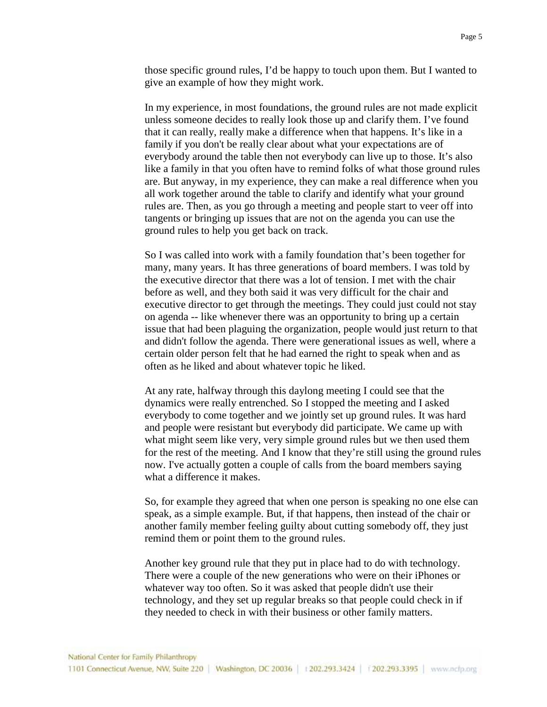those specific ground rules, I'd be happy to touch upon them. But I wanted to give an example of how they might work.

In my experience, in most foundations, the ground rules are not made explicit unless someone decides to really look those up and clarify them. I've found that it can really, really make a difference when that happens. It's like in a family if you don't be really clear about what your expectations are of everybody around the table then not everybody can live up to those. It's also like a family in that you often have to remind folks of what those ground rules are. But anyway, in my experience, they can make a real difference when you all work together around the table to clarify and identify what your ground rules are. Then, as you go through a meeting and people start to veer off into tangents or bringing up issues that are not on the agenda you can use the ground rules to help you get back on track.

So I was called into work with a family foundation that's been together for many, many years. It has three generations of board members. I was told by the executive director that there was a lot of tension. I met with the chair before as well, and they both said it was very difficult for the chair and executive director to get through the meetings. They could just could not stay on agenda -- like whenever there was an opportunity to bring up a certain issue that had been plaguing the organization, people would just return to that and didn't follow the agenda. There were generational issues as well, where a certain older person felt that he had earned the right to speak when and as often as he liked and about whatever topic he liked.

At any rate, halfway through this daylong meeting I could see that the dynamics were really entrenched. So I stopped the meeting and I asked everybody to come together and we jointly set up ground rules. It was hard and people were resistant but everybody did participate. We came up with what might seem like very, very simple ground rules but we then used them for the rest of the meeting. And I know that they're still using the ground rules now. I've actually gotten a couple of calls from the board members saying what a difference it makes.

So, for example they agreed that when one person is speaking no one else can speak, as a simple example. But, if that happens, then instead of the chair or another family member feeling guilty about cutting somebody off, they just remind them or point them to the ground rules.

Another key ground rule that they put in place had to do with technology. There were a couple of the new generations who were on their iPhones or whatever way too often. So it was asked that people didn't use their technology, and they set up regular breaks so that people could check in if they needed to check in with their business or other family matters.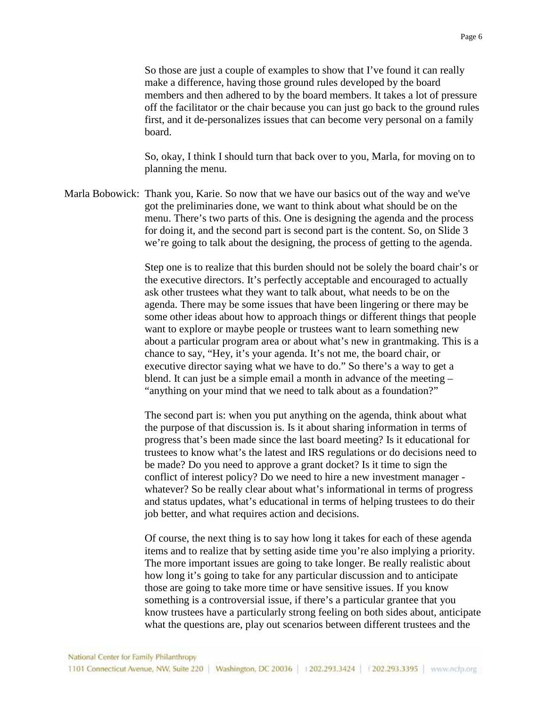So those are just a couple of examples to show that I've found it can really make a difference, having those ground rules developed by the board members and then adhered to by the board members. It takes a lot of pressure off the facilitator or the chair because you can just go back to the ground rules first, and it de-personalizes issues that can become very personal on a family board.

So, okay, I think I should turn that back over to you, Marla, for moving on to planning the menu.

Marla Bobowick: Thank you, Karie. So now that we have our basics out of the way and we've got the preliminaries done, we want to think about what should be on the menu. There's two parts of this. One is designing the agenda and the process for doing it, and the second part is second part is the content. So, on Slide 3 we're going to talk about the designing, the process of getting to the agenda.

> Step one is to realize that this burden should not be solely the board chair's or the executive directors. It's perfectly acceptable and encouraged to actually ask other trustees what they want to talk about, what needs to be on the agenda. There may be some issues that have been lingering or there may be some other ideas about how to approach things or different things that people want to explore or maybe people or trustees want to learn something new about a particular program area or about what's new in grantmaking. This is a chance to say, "Hey, it's your agenda. It's not me, the board chair, or executive director saying what we have to do." So there's a way to get a blend. It can just be a simple email a month in advance of the meeting – "anything on your mind that we need to talk about as a foundation?"

> The second part is: when you put anything on the agenda, think about what the purpose of that discussion is. Is it about sharing information in terms of progress that's been made since the last board meeting? Is it educational for trustees to know what's the latest and IRS regulations or do decisions need to be made? Do you need to approve a grant docket? Is it time to sign the conflict of interest policy? Do we need to hire a new investment manager whatever? So be really clear about what's informational in terms of progress and status updates, what's educational in terms of helping trustees to do their job better, and what requires action and decisions.

> Of course, the next thing is to say how long it takes for each of these agenda items and to realize that by setting aside time you're also implying a priority. The more important issues are going to take longer. Be really realistic about how long it's going to take for any particular discussion and to anticipate those are going to take more time or have sensitive issues. If you know something is a controversial issue, if there's a particular grantee that you know trustees have a particularly strong feeling on both sides about, anticipate what the questions are, play out scenarios between different trustees and the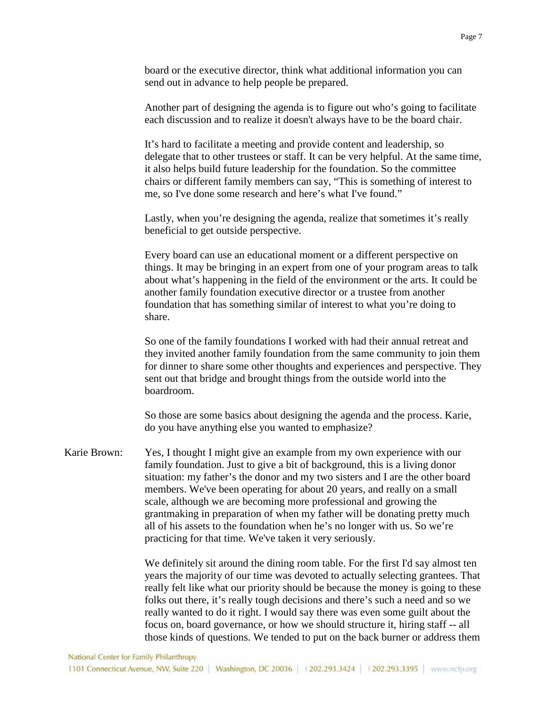board or the executive director, think what additional information you can send out in advance to help people be prepared.

Another part of designing the agenda is to figure out who's going to facilitate each discussion and to realize it doesn't always have to be the board chair.

It's hard to facilitate a meeting and provide content and leadership, so delegate that to other trustees or staff. It can be very helpful. At the same time, it also helps build future leadership for the foundation. So the committee chairs or different family members can say, "This is something of interest to me, so I've done some research and here's what I've found."

Lastly, when you're designing the agenda, realize that sometimes it's really beneficial to get outside perspective.

Every board can use an educational moment or a different perspective on things. It may be bringing in an expert from one of your program areas to talk about what's happening in the field of the environment or the arts. It could be another family foundation executive director or a trustee from another foundation that has something similar of interest to what you're doing to share.

So one of the family foundations I worked with had their annual retreat and they invited another family foundation from the same community to join them for dinner to share some other thoughts and experiences and perspective. They sent out that bridge and brought things from the outside world into the boardroom.

So those are some basics about designing the agenda and the process. Karie, do you have anything else you wanted to emphasize?

Karie Brown: Yes, I thought I might give an example from my own experience with our family foundation. Just to give a bit of background, this is a living donor situation: my father's the donor and my two sisters and I are the other board members. We've been operating for about 20 years, and really on a small scale, although we are becoming more professional and growing the grantmaking in preparation of when my father will be donating pretty much all of his assets to the foundation when he's no longer with us. So we're practicing for that time. We've taken it very seriously.

> We definitely sit around the dining room table. For the first I'd say almost ten years the majority of our time was devoted to actually selecting grantees. That really felt like what our priority should be because the money is going to these folks out there, it's really tough decisions and there's such a need and so we really wanted to do it right. I would say there was even some guilt about the focus on, board governance, or how we should structure it, hiring staff -- all those kinds of questions. We tended to put on the back burner or address them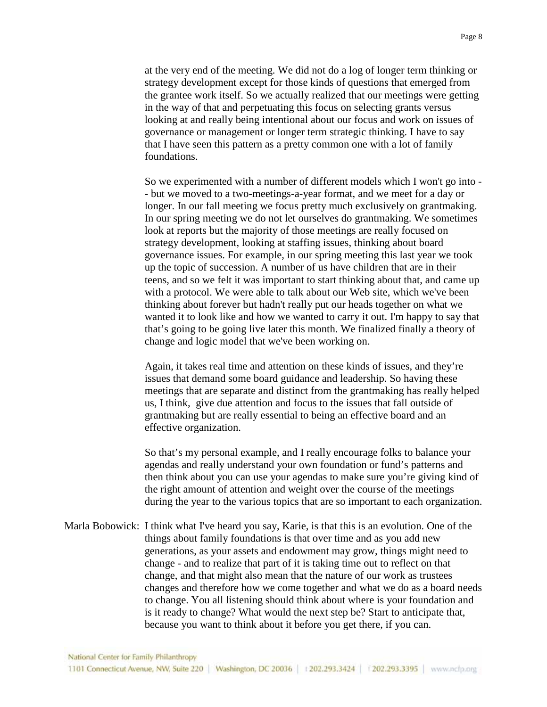at the very end of the meeting. We did not do a log of longer term thinking or strategy development except for those kinds of questions that emerged from the grantee work itself. So we actually realized that our meetings were getting in the way of that and perpetuating this focus on selecting grants versus looking at and really being intentional about our focus and work on issues of governance or management or longer term strategic thinking. I have to say that I have seen this pattern as a pretty common one with a lot of family foundations.

So we experimented with a number of different models which I won't go into - - but we moved to a two-meetings-a-year format, and we meet for a day or longer. In our fall meeting we focus pretty much exclusively on grantmaking. In our spring meeting we do not let ourselves do grantmaking. We sometimes look at reports but the majority of those meetings are really focused on strategy development, looking at staffing issues, thinking about board governance issues. For example, in our spring meeting this last year we took up the topic of succession. A number of us have children that are in their teens, and so we felt it was important to start thinking about that, and came up with a protocol. We were able to talk about our Web site, which we've been thinking about forever but hadn't really put our heads together on what we wanted it to look like and how we wanted to carry it out. I'm happy to say that that's going to be going live later this month. We finalized finally a theory of change and logic model that we've been working on.

Again, it takes real time and attention on these kinds of issues, and they're issues that demand some board guidance and leadership. So having these meetings that are separate and distinct from the grantmaking has really helped us, I think, give due attention and focus to the issues that fall outside of grantmaking but are really essential to being an effective board and an effective organization.

So that's my personal example, and I really encourage folks to balance your agendas and really understand your own foundation or fund's patterns and then think about you can use your agendas to make sure you're giving kind of the right amount of attention and weight over the course of the meetings during the year to the various topics that are so important to each organization.

Marla Bobowick: I think what I've heard you say, Karie, is that this is an evolution. One of the things about family foundations is that over time and as you add new generations, as your assets and endowment may grow, things might need to change - and to realize that part of it is taking time out to reflect on that change, and that might also mean that the nature of our work as trustees changes and therefore how we come together and what we do as a board needs to change. You all listening should think about where is your foundation and is it ready to change? What would the next step be? Start to anticipate that, because you want to think about it before you get there, if you can.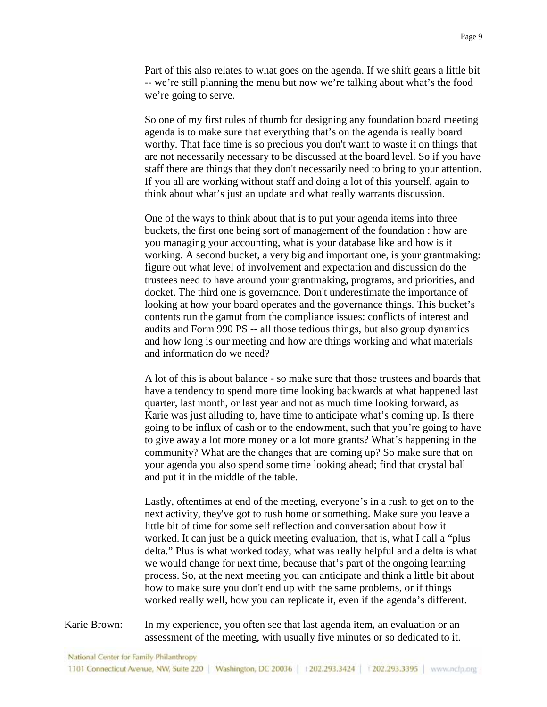Part of this also relates to what goes on the agenda. If we shift gears a little bit -- we're still planning the menu but now we're talking about what's the food we're going to serve.

So one of my first rules of thumb for designing any foundation board meeting agenda is to make sure that everything that's on the agenda is really board worthy. That face time is so precious you don't want to waste it on things that are not necessarily necessary to be discussed at the board level. So if you have staff there are things that they don't necessarily need to bring to your attention. If you all are working without staff and doing a lot of this yourself, again to think about what's just an update and what really warrants discussion.

One of the ways to think about that is to put your agenda items into three buckets, the first one being sort of management of the foundation : how are you managing your accounting, what is your database like and how is it working. A second bucket, a very big and important one, is your grantmaking: figure out what level of involvement and expectation and discussion do the trustees need to have around your grantmaking, programs, and priorities, and docket. The third one is governance. Don't underestimate the importance of looking at how your board operates and the governance things. This bucket's contents run the gamut from the compliance issues: conflicts of interest and audits and Form 990 PS -- all those tedious things, but also group dynamics and how long is our meeting and how are things working and what materials and information do we need?

A lot of this is about balance - so make sure that those trustees and boards that have a tendency to spend more time looking backwards at what happened last quarter, last month, or last year and not as much time looking forward, as Karie was just alluding to, have time to anticipate what's coming up. Is there going to be influx of cash or to the endowment, such that you're going to have to give away a lot more money or a lot more grants? What's happening in the community? What are the changes that are coming up? So make sure that on your agenda you also spend some time looking ahead; find that crystal ball and put it in the middle of the table.

Lastly, oftentimes at end of the meeting, everyone's in a rush to get on to the next activity, they've got to rush home or something. Make sure you leave a little bit of time for some self reflection and conversation about how it worked. It can just be a quick meeting evaluation, that is, what I call a "plus delta." Plus is what worked today, what was really helpful and a delta is what we would change for next time, because that's part of the ongoing learning process. So, at the next meeting you can anticipate and think a little bit about how to make sure you don't end up with the same problems, or if things worked really well, how you can replicate it, even if the agenda's different.

Karie Brown: In my experience, you often see that last agenda item, an evaluation or an assessment of the meeting, with usually five minutes or so dedicated to it.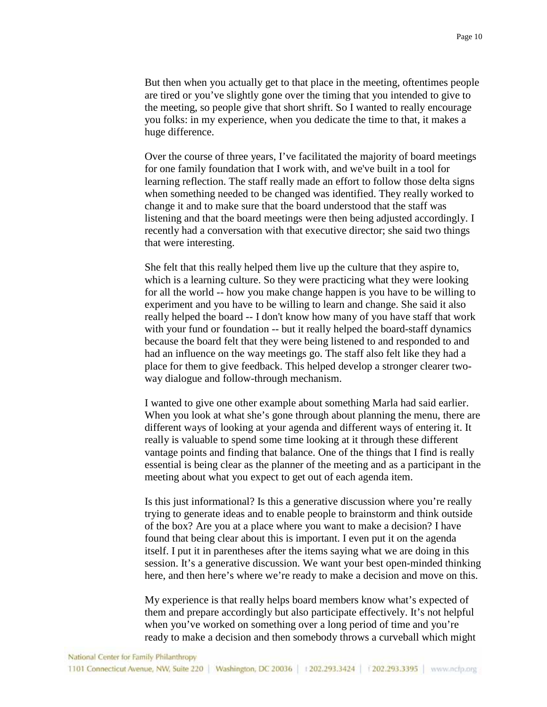But then when you actually get to that place in the meeting, oftentimes people are tired or you've slightly gone over the timing that you intended to give to the meeting, so people give that short shrift. So I wanted to really encourage you folks: in my experience, when you dedicate the time to that, it makes a huge difference.

Over the course of three years, I've facilitated the majority of board meetings for one family foundation that I work with, and we've built in a tool for learning reflection. The staff really made an effort to follow those delta signs when something needed to be changed was identified. They really worked to change it and to make sure that the board understood that the staff was listening and that the board meetings were then being adjusted accordingly. I recently had a conversation with that executive director; she said two things that were interesting.

She felt that this really helped them live up the culture that they aspire to, which is a learning culture. So they were practicing what they were looking for all the world -- how you make change happen is you have to be willing to experiment and you have to be willing to learn and change. She said it also really helped the board -- I don't know how many of you have staff that work with your fund or foundation -- but it really helped the board-staff dynamics because the board felt that they were being listened to and responded to and had an influence on the way meetings go. The staff also felt like they had a place for them to give feedback. This helped develop a stronger clearer twoway dialogue and follow-through mechanism.

I wanted to give one other example about something Marla had said earlier. When you look at what she's gone through about planning the menu, there are different ways of looking at your agenda and different ways of entering it. It really is valuable to spend some time looking at it through these different vantage points and finding that balance. One of the things that I find is really essential is being clear as the planner of the meeting and as a participant in the meeting about what you expect to get out of each agenda item.

Is this just informational? Is this a generative discussion where you're really trying to generate ideas and to enable people to brainstorm and think outside of the box? Are you at a place where you want to make a decision? I have found that being clear about this is important. I even put it on the agenda itself. I put it in parentheses after the items saying what we are doing in this session. It's a generative discussion. We want your best open-minded thinking here, and then here's where we're ready to make a decision and move on this.

My experience is that really helps board members know what's expected of them and prepare accordingly but also participate effectively. It's not helpful when you've worked on something over a long period of time and you're ready to make a decision and then somebody throws a curveball which might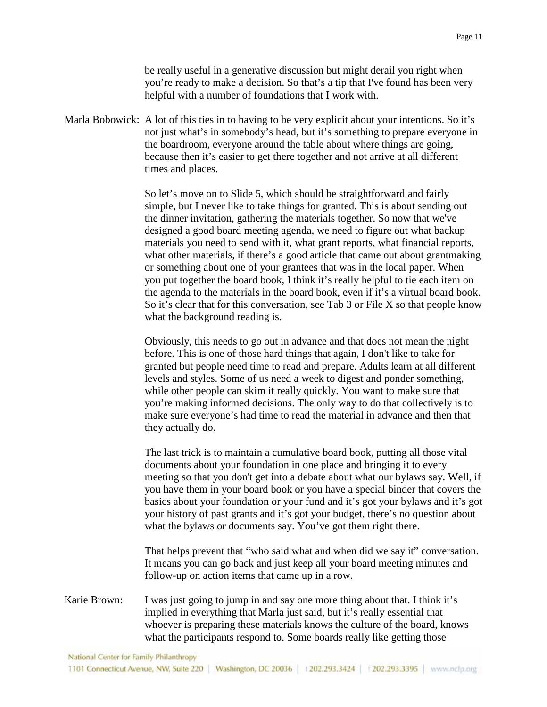be really useful in a generative discussion but might derail you right when you're ready to make a decision. So that's a tip that I've found has been very helpful with a number of foundations that I work with.

Marla Bobowick: A lot of this ties in to having to be very explicit about your intentions. So it's not just what's in somebody's head, but it's something to prepare everyone in the boardroom, everyone around the table about where things are going, because then it's easier to get there together and not arrive at all different times and places.

> So let's move on to Slide 5, which should be straightforward and fairly simple, but I never like to take things for granted. This is about sending out the dinner invitation, gathering the materials together. So now that we've designed a good board meeting agenda, we need to figure out what backup materials you need to send with it, what grant reports, what financial reports, what other materials, if there's a good article that came out about grantmaking or something about one of your grantees that was in the local paper. When you put together the board book, I think it's really helpful to tie each item on the agenda to the materials in the board book, even if it's a virtual board book. So it's clear that for this conversation, see Tab 3 or File X so that people know what the background reading is.

Obviously, this needs to go out in advance and that does not mean the night before. This is one of those hard things that again, I don't like to take for granted but people need time to read and prepare. Adults learn at all different levels and styles. Some of us need a week to digest and ponder something, while other people can skim it really quickly. You want to make sure that you're making informed decisions. The only way to do that collectively is to make sure everyone's had time to read the material in advance and then that they actually do.

The last trick is to maintain a cumulative board book, putting all those vital documents about your foundation in one place and bringing it to every meeting so that you don't get into a debate about what our bylaws say. Well, if you have them in your board book or you have a special binder that covers the basics about your foundation or your fund and it's got your bylaws and it's got your history of past grants and it's got your budget, there's no question about what the bylaws or documents say. You've got them right there.

That helps prevent that "who said what and when did we say it" conversation. It means you can go back and just keep all your board meeting minutes and follow-up on action items that came up in a row.

Karie Brown: I was just going to jump in and say one more thing about that. I think it's implied in everything that Marla just said, but it's really essential that whoever is preparing these materials knows the culture of the board, knows what the participants respond to. Some boards really like getting those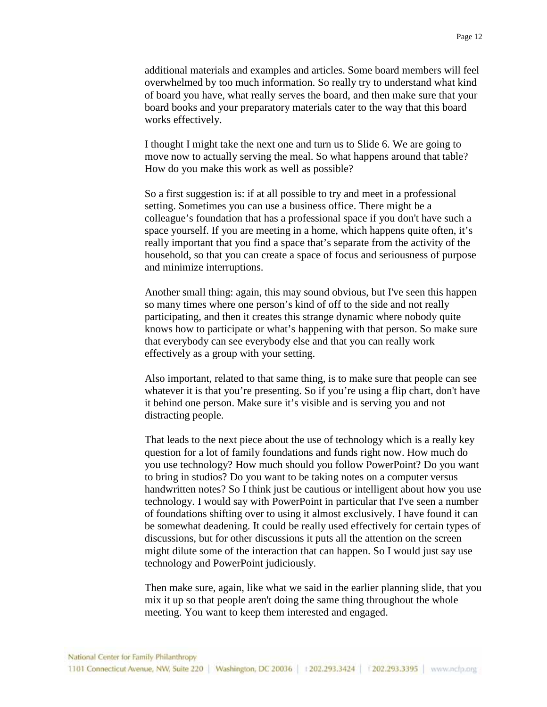additional materials and examples and articles. Some board members will feel overwhelmed by too much information. So really try to understand what kind of board you have, what really serves the board, and then make sure that your board books and your preparatory materials cater to the way that this board works effectively.

I thought I might take the next one and turn us to Slide 6. We are going to move now to actually serving the meal. So what happens around that table? How do you make this work as well as possible?

So a first suggestion is: if at all possible to try and meet in a professional setting. Sometimes you can use a business office. There might be a colleague's foundation that has a professional space if you don't have such a space yourself. If you are meeting in a home, which happens quite often, it's really important that you find a space that's separate from the activity of the household, so that you can create a space of focus and seriousness of purpose and minimize interruptions.

Another small thing: again, this may sound obvious, but I've seen this happen so many times where one person's kind of off to the side and not really participating, and then it creates this strange dynamic where nobody quite knows how to participate or what's happening with that person. So make sure that everybody can see everybody else and that you can really work effectively as a group with your setting.

Also important, related to that same thing, is to make sure that people can see whatever it is that you're presenting. So if you're using a flip chart, don't have it behind one person. Make sure it's visible and is serving you and not distracting people.

That leads to the next piece about the use of technology which is a really key question for a lot of family foundations and funds right now. How much do you use technology? How much should you follow PowerPoint? Do you want to bring in studios? Do you want to be taking notes on a computer versus handwritten notes? So I think just be cautious or intelligent about how you use technology. I would say with PowerPoint in particular that I've seen a number of foundations shifting over to using it almost exclusively. I have found it can be somewhat deadening. It could be really used effectively for certain types of discussions, but for other discussions it puts all the attention on the screen might dilute some of the interaction that can happen. So I would just say use technology and PowerPoint judiciously.

Then make sure, again, like what we said in the earlier planning slide, that you mix it up so that people aren't doing the same thing throughout the whole meeting. You want to keep them interested and engaged.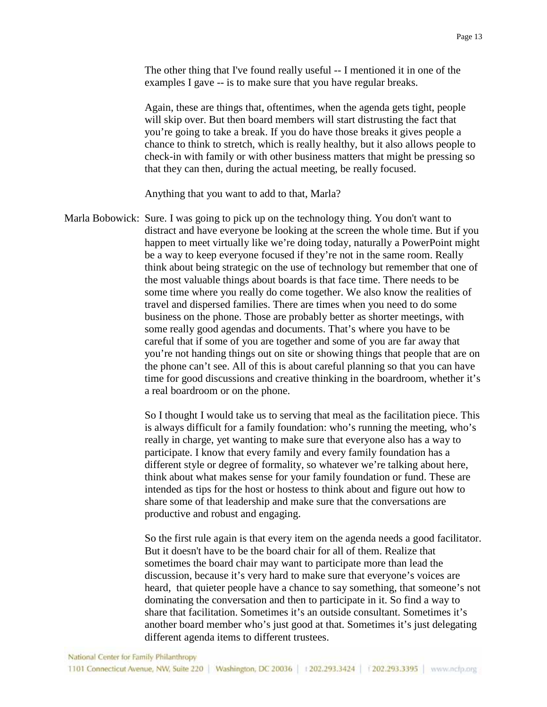The other thing that I've found really useful -- I mentioned it in one of the examples I gave -- is to make sure that you have regular breaks.

Again, these are things that, oftentimes, when the agenda gets tight, people will skip over. But then board members will start distrusting the fact that you're going to take a break. If you do have those breaks it gives people a chance to think to stretch, which is really healthy, but it also allows people to check-in with family or with other business matters that might be pressing so that they can then, during the actual meeting, be really focused.

Anything that you want to add to that, Marla?

Marla Bobowick: Sure. I was going to pick up on the technology thing. You don't want to distract and have everyone be looking at the screen the whole time. But if you happen to meet virtually like we're doing today, naturally a PowerPoint might be a way to keep everyone focused if they're not in the same room. Really think about being strategic on the use of technology but remember that one of the most valuable things about boards is that face time. There needs to be some time where you really do come together. We also know the realities of travel and dispersed families. There are times when you need to do some business on the phone. Those are probably better as shorter meetings, with some really good agendas and documents. That's where you have to be careful that if some of you are together and some of you are far away that you're not handing things out on site or showing things that people that are on the phone can't see. All of this is about careful planning so that you can have time for good discussions and creative thinking in the boardroom, whether it's a real boardroom or on the phone.

> So I thought I would take us to serving that meal as the facilitation piece. This is always difficult for a family foundation: who's running the meeting, who's really in charge, yet wanting to make sure that everyone also has a way to participate. I know that every family and every family foundation has a different style or degree of formality, so whatever we're talking about here, think about what makes sense for your family foundation or fund. These are intended as tips for the host or hostess to think about and figure out how to share some of that leadership and make sure that the conversations are productive and robust and engaging.

> So the first rule again is that every item on the agenda needs a good facilitator. But it doesn't have to be the board chair for all of them. Realize that sometimes the board chair may want to participate more than lead the discussion, because it's very hard to make sure that everyone's voices are heard, that quieter people have a chance to say something, that someone's not dominating the conversation and then to participate in it. So find a way to share that facilitation. Sometimes it's an outside consultant. Sometimes it's another board member who's just good at that. Sometimes it's just delegating different agenda items to different trustees.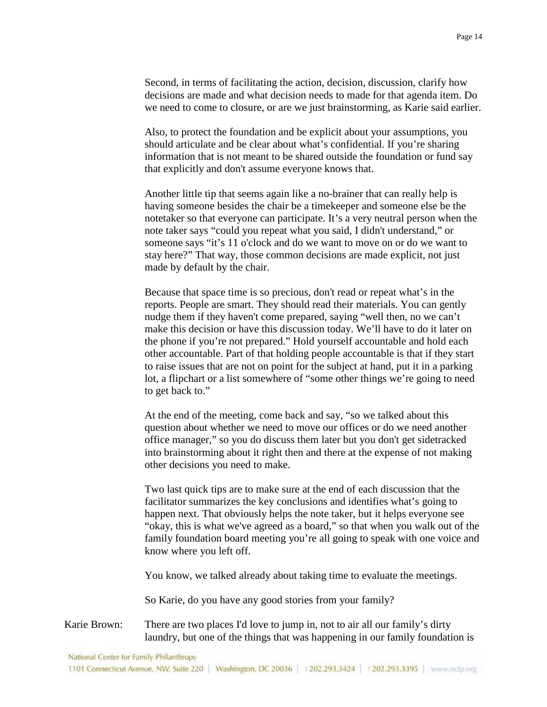Second, in terms of facilitating the action, decision, discussion, clarify how decisions are made and what decision needs to made for that agenda item. Do we need to come to closure, or are we just brainstorming, as Karie said earlier.

Also, to protect the foundation and be explicit about your assumptions, you should articulate and be clear about what's confidential. If you're sharing information that is not meant to be shared outside the foundation or fund say that explicitly and don't assume everyone knows that.

Another little tip that seems again like a no-brainer that can really help is having someone besides the chair be a timekeeper and someone else be the notetaker so that everyone can participate. It's a very neutral person when the note taker says "could you repeat what you said, I didn't understand," or someone says "it's 11 o'clock and do we want to move on or do we want to stay here?" That way, those common decisions are made explicit, not just made by default by the chair.

Because that space time is so precious, don't read or repeat what's in the reports. People are smart. They should read their materials. You can gently nudge them if they haven't come prepared, saying "well then, no we can't make this decision or have this discussion today. We'll have to do it later on the phone if you're not prepared." Hold yourself accountable and hold each other accountable. Part of that holding people accountable is that if they start to raise issues that are not on point for the subject at hand, put it in a parking lot, a flipchart or a list somewhere of "some other things we're going to need to get back to."

At the end of the meeting, come back and say, "so we talked about this question about whether we need to move our offices or do we need another office manager," so you do discuss them later but you don't get sidetracked into brainstorming about it right then and there at the expense of not making other decisions you need to make.

Two last quick tips are to make sure at the end of each discussion that the facilitator summarizes the key conclusions and identifies what's going to happen next. That obviously helps the note taker, but it helps everyone see "okay, this is what we've agreed as a board," so that when you walk out of the family foundation board meeting you're all going to speak with one voice and know where you left off.

You know, we talked already about taking time to evaluate the meetings.

So Karie, do you have any good stories from your family?

Karie Brown: There are two places I'd love to jump in, not to air all our family's dirty laundry, but one of the things that was happening in our family foundation is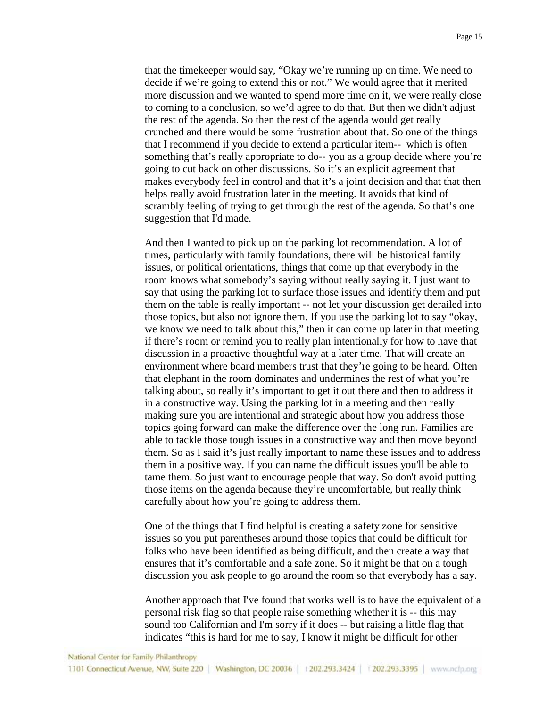that the timekeeper would say, "Okay we're running up on time. We need to decide if we're going to extend this or not." We would agree that it merited more discussion and we wanted to spend more time on it, we were really close to coming to a conclusion, so we'd agree to do that. But then we didn't adjust the rest of the agenda. So then the rest of the agenda would get really crunched and there would be some frustration about that. So one of the things that I recommend if you decide to extend a particular item-- which is often something that's really appropriate to do-- you as a group decide where you're going to cut back on other discussions. So it's an explicit agreement that makes everybody feel in control and that it's a joint decision and that that then helps really avoid frustration later in the meeting. It avoids that kind of scrambly feeling of trying to get through the rest of the agenda. So that's one suggestion that I'd made.

And then I wanted to pick up on the parking lot recommendation. A lot of times, particularly with family foundations, there will be historical family issues, or political orientations, things that come up that everybody in the room knows what somebody's saying without really saying it. I just want to say that using the parking lot to surface those issues and identify them and put them on the table is really important -- not let your discussion get derailed into those topics, but also not ignore them. If you use the parking lot to say "okay, we know we need to talk about this," then it can come up later in that meeting if there's room or remind you to really plan intentionally for how to have that discussion in a proactive thoughtful way at a later time. That will create an environment where board members trust that they're going to be heard. Often that elephant in the room dominates and undermines the rest of what you're talking about, so really it's important to get it out there and then to address it in a constructive way. Using the parking lot in a meeting and then really making sure you are intentional and strategic about how you address those topics going forward can make the difference over the long run. Families are able to tackle those tough issues in a constructive way and then move beyond them. So as I said it's just really important to name these issues and to address them in a positive way. If you can name the difficult issues you'll be able to tame them. So just want to encourage people that way. So don't avoid putting those items on the agenda because they're uncomfortable, but really think carefully about how you're going to address them.

One of the things that I find helpful is creating a safety zone for sensitive issues so you put parentheses around those topics that could be difficult for folks who have been identified as being difficult, and then create a way that ensures that it's comfortable and a safe zone. So it might be that on a tough discussion you ask people to go around the room so that everybody has a say.

Another approach that I've found that works well is to have the equivalent of a personal risk flag so that people raise something whether it is -- this may sound too Californian and I'm sorry if it does -- but raising a little flag that indicates "this is hard for me to say, I know it might be difficult for other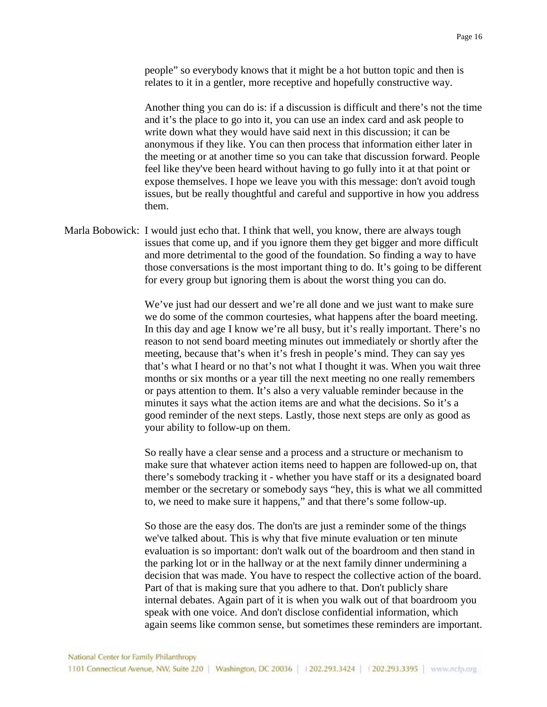people" so everybody knows that it might be a hot button topic and then is relates to it in a gentler, more receptive and hopefully constructive way.

Another thing you can do is: if a discussion is difficult and there's not the time and it's the place to go into it, you can use an index card and ask people to write down what they would have said next in this discussion; it can be anonymous if they like. You can then process that information either later in the meeting or at another time so you can take that discussion forward. People feel like they've been heard without having to go fully into it at that point or expose themselves. I hope we leave you with this message: don't avoid tough issues, but be really thoughtful and careful and supportive in how you address them.

Marla Bobowick: I would just echo that. I think that well, you know, there are always tough issues that come up, and if you ignore them they get bigger and more difficult and more detrimental to the good of the foundation. So finding a way to have those conversations is the most important thing to do. It's going to be different for every group but ignoring them is about the worst thing you can do.

> We've just had our dessert and we're all done and we just want to make sure we do some of the common courtesies, what happens after the board meeting. In this day and age I know we're all busy, but it's really important. There's no reason to not send board meeting minutes out immediately or shortly after the meeting, because that's when it's fresh in people's mind. They can say yes that's what I heard or no that's not what I thought it was. When you wait three months or six months or a year till the next meeting no one really remembers or pays attention to them. It's also a very valuable reminder because in the minutes it says what the action items are and what the decisions. So it's a good reminder of the next steps. Lastly, those next steps are only as good as your ability to follow-up on them.

> So really have a clear sense and a process and a structure or mechanism to make sure that whatever action items need to happen are followed-up on, that there's somebody tracking it - whether you have staff or its a designated board member or the secretary or somebody says "hey, this is what we all committed to, we need to make sure it happens," and that there's some follow-up.

> So those are the easy dos. The don'ts are just a reminder some of the things we've talked about. This is why that five minute evaluation or ten minute evaluation is so important: don't walk out of the boardroom and then stand in the parking lot or in the hallway or at the next family dinner undermining a decision that was made. You have to respect the collective action of the board. Part of that is making sure that you adhere to that. Don't publicly share internal debates. Again part of it is when you walk out of that boardroom you speak with one voice. And don't disclose confidential information, which again seems like common sense, but sometimes these reminders are important.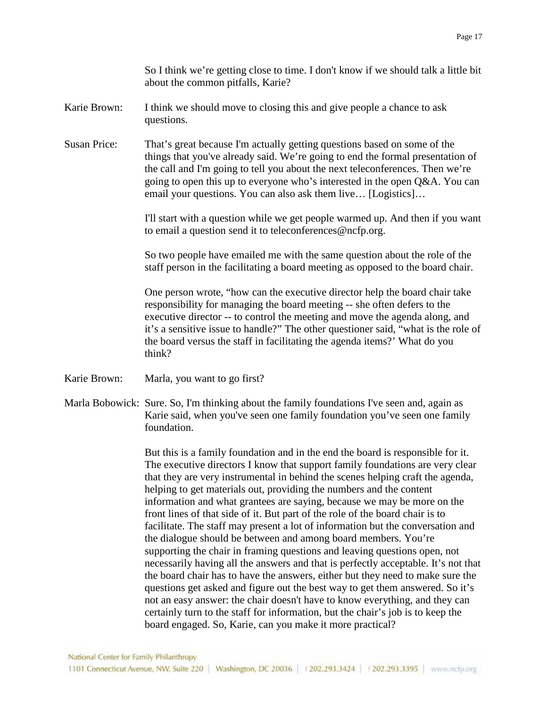So I think we're getting close to time. I don't know if we should talk a little bit about the common pitfalls, Karie?

- Karie Brown: I think we should move to closing this and give people a chance to ask questions.
- Susan Price: That's great because I'm actually getting questions based on some of the things that you've already said. We're going to end the formal presentation of the call and I'm going to tell you about the next teleconferences. Then we're going to open this up to everyone who's interested in the open Q&A. You can email your questions. You can also ask them live… [Logistics]…

I'll start with a question while we get people warmed up. And then if you want to email a question send it to teleconferences@ncfp.org.

So two people have emailed me with the same question about the role of the staff person in the facilitating a board meeting as opposed to the board chair.

One person wrote, "how can the executive director help the board chair take responsibility for managing the board meeting -- she often defers to the executive director -- to control the meeting and move the agenda along, and it's a sensitive issue to handle?" The other questioner said, "what is the role of the board versus the staff in facilitating the agenda items?' What do you think?

- Karie Brown: Marla, you want to go first?
- Marla Bobowick: Sure. So, I'm thinking about the family foundations I've seen and, again as Karie said, when you've seen one family foundation you've seen one family foundation.

But this is a family foundation and in the end the board is responsible for it. The executive directors I know that support family foundations are very clear that they are very instrumental in behind the scenes helping craft the agenda, helping to get materials out, providing the numbers and the content information and what grantees are saying, because we may be more on the front lines of that side of it. But part of the role of the board chair is to facilitate. The staff may present a lot of information but the conversation and the dialogue should be between and among board members. You're supporting the chair in framing questions and leaving questions open, not necessarily having all the answers and that is perfectly acceptable. It's not that the board chair has to have the answers, either but they need to make sure the questions get asked and figure out the best way to get them answered. So it's not an easy answer: the chair doesn't have to know everything, and they can certainly turn to the staff for information, but the chair's job is to keep the board engaged. So, Karie, can you make it more practical?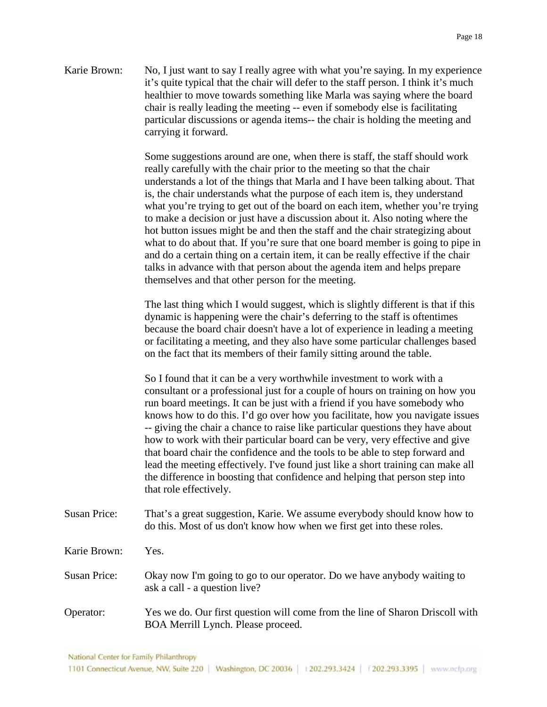Karie Brown: No, I just want to say I really agree with what you're saying. In my experience it's quite typical that the chair will defer to the staff person. I think it's much healthier to move towards something like Marla was saying where the board chair is really leading the meeting -- even if somebody else is facilitating particular discussions or agenda items-- the chair is holding the meeting and carrying it forward.

> Some suggestions around are one, when there is staff, the staff should work really carefully with the chair prior to the meeting so that the chair understands a lot of the things that Marla and I have been talking about. That is, the chair understands what the purpose of each item is, they understand what you're trying to get out of the board on each item, whether you're trying to make a decision or just have a discussion about it. Also noting where the hot button issues might be and then the staff and the chair strategizing about what to do about that. If you're sure that one board member is going to pipe in and do a certain thing on a certain item, it can be really effective if the chair talks in advance with that person about the agenda item and helps prepare themselves and that other person for the meeting.

The last thing which I would suggest, which is slightly different is that if this dynamic is happening were the chair's deferring to the staff is oftentimes because the board chair doesn't have a lot of experience in leading a meeting or facilitating a meeting, and they also have some particular challenges based on the fact that its members of their family sitting around the table.

So I found that it can be a very worthwhile investment to work with a consultant or a professional just for a couple of hours on training on how you run board meetings. It can be just with a friend if you have somebody who knows how to do this. I'd go over how you facilitate, how you navigate issues -- giving the chair a chance to raise like particular questions they have about how to work with their particular board can be very, very effective and give that board chair the confidence and the tools to be able to step forward and lead the meeting effectively. I've found just like a short training can make all the difference in boosting that confidence and helping that person step into that role effectively.

Susan Price: That's a great suggestion, Karie. We assume everybody should know how to do this. Most of us don't know how when we first get into these roles.

Karie Brown: Yes.

Susan Price: Okay now I'm going to go to our operator. Do we have anybody waiting to ask a call - a question live?

Operator: Yes we do. Our first question will come from the line of Sharon Driscoll with BOA Merrill Lynch. Please proceed.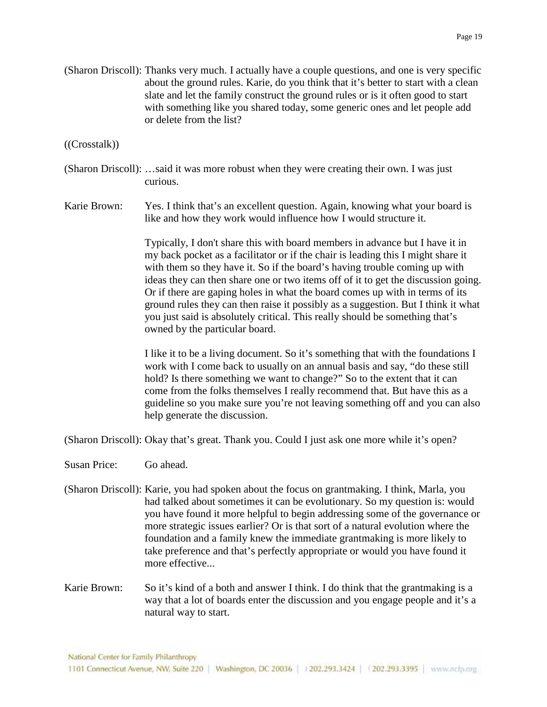(Sharon Driscoll): Thanks very much. I actually have a couple questions, and one is very specific about the ground rules. Karie, do you think that it's better to start with a clean slate and let the family construct the ground rules or is it often good to start with something like you shared today, some generic ones and let people add or delete from the list?

## ((Crosstalk))

- (Sharon Driscoll): …said it was more robust when they were creating their own. I was just curious.
- Karie Brown: Yes. I think that's an excellent question. Again, knowing what your board is like and how they work would influence how I would structure it.

Typically, I don't share this with board members in advance but I have it in my back pocket as a facilitator or if the chair is leading this I might share it with them so they have it. So if the board's having trouble coming up with ideas they can then share one or two items off of it to get the discussion going. Or if there are gaping holes in what the board comes up with in terms of its ground rules they can then raise it possibly as a suggestion. But I think it what you just said is absolutely critical. This really should be something that's owned by the particular board.

I like it to be a living document. So it's something that with the foundations I work with I come back to usually on an annual basis and say, "do these still hold? Is there something we want to change?" So to the extent that it can come from the folks themselves I really recommend that. But have this as a guideline so you make sure you're not leaving something off and you can also help generate the discussion.

(Sharon Driscoll): Okay that's great. Thank you. Could I just ask one more while it's open?

- Susan Price: Go ahead.
- (Sharon Driscoll): Karie, you had spoken about the focus on grantmaking. I think, Marla, you had talked about sometimes it can be evolutionary. So my question is: would you have found it more helpful to begin addressing some of the governance or more strategic issues earlier? Or is that sort of a natural evolution where the foundation and a family knew the immediate grantmaking is more likely to take preference and that's perfectly appropriate or would you have found it more effective...
- Karie Brown: So it's kind of a both and answer I think. I do think that the grantmaking is a way that a lot of boards enter the discussion and you engage people and it's a natural way to start.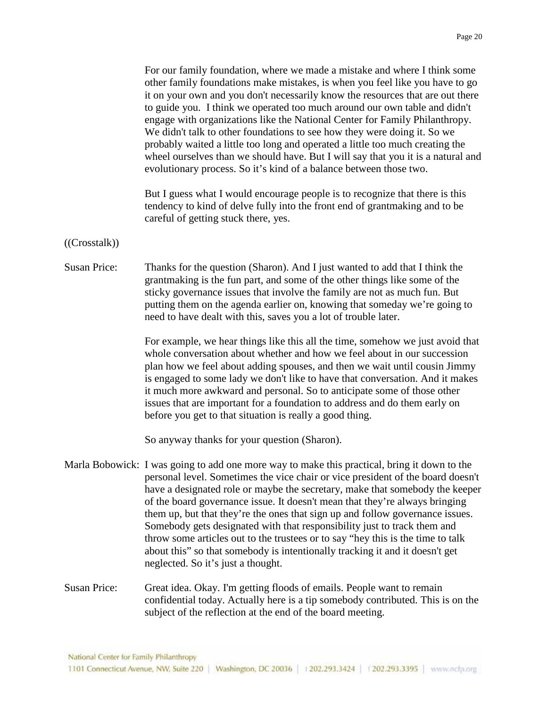|                     | For our family foundation, where we made a mistake and where I think some<br>other family foundations make mistakes, is when you feel like you have to go<br>it on your own and you don't necessarily know the resources that are out there<br>to guide you. I think we operated too much around our own table and didn't<br>engage with organizations like the National Center for Family Philanthropy.<br>We didn't talk to other foundations to see how they were doing it. So we<br>probably waited a little too long and operated a little too much creating the<br>wheel ourselves than we should have. But I will say that you it is a natural and<br>evolutionary process. So it's kind of a balance between those two. |
|---------------------|---------------------------------------------------------------------------------------------------------------------------------------------------------------------------------------------------------------------------------------------------------------------------------------------------------------------------------------------------------------------------------------------------------------------------------------------------------------------------------------------------------------------------------------------------------------------------------------------------------------------------------------------------------------------------------------------------------------------------------|
|                     | But I guess what I would encourage people is to recognize that there is this<br>tendency to kind of delve fully into the front end of grantmaking and to be<br>careful of getting stuck there, yes.                                                                                                                                                                                                                                                                                                                                                                                                                                                                                                                             |
| ((Crosstalk))       |                                                                                                                                                                                                                                                                                                                                                                                                                                                                                                                                                                                                                                                                                                                                 |
| <b>Susan Price:</b> | Thanks for the question (Sharon). And I just wanted to add that I think the<br>grantmaking is the fun part, and some of the other things like some of the<br>sticky governance issues that involve the family are not as much fun. But<br>putting them on the agenda earlier on, knowing that someday we're going to<br>need to have dealt with this, saves you a lot of trouble later.                                                                                                                                                                                                                                                                                                                                         |
|                     | For example, we hear things like this all the time, somehow we just avoid that<br>whole conversation about whether and how we feel about in our succession<br>plan how we feel about adding spouses, and then we wait until cousin Jimmy<br>is engaged to some lady we don't like to have that conversation. And it makes<br>it much more awkward and personal. So to anticipate some of those other<br>issues that are important for a foundation to address and do them early on<br>before you get to that situation is really a good thing.                                                                                                                                                                                  |
|                     | So anyway thanks for your question (Sharon).                                                                                                                                                                                                                                                                                                                                                                                                                                                                                                                                                                                                                                                                                    |
|                     | Marla Bobowick: I was going to add one more way to make this practical, bring it down to the<br>personal level. Sometimes the vice chair or vice president of the board doesn't<br>have a designated role or maybe the secretary, make that somebody the keeper<br>of the board governance issue. It doesn't mean that they're always bringing<br>them up, but that they're the ones that sign up and follow governance issues.<br>Somebody gets designated with that responsibility just to track them and<br>throw some articles out to the trustees or to say "hey this is the time to talk<br>about this" so that somebody is intentionally tracking it and it doesn't get<br>neglected. So it's just a thought.            |
| <b>Susan Price:</b> | Great idea. Okay. I'm getting floods of emails. People want to remain<br>confidential today. Actually here is a tip somebody contributed. This is on the<br>subject of the reflection at the end of the board meeting.                                                                                                                                                                                                                                                                                                                                                                                                                                                                                                          |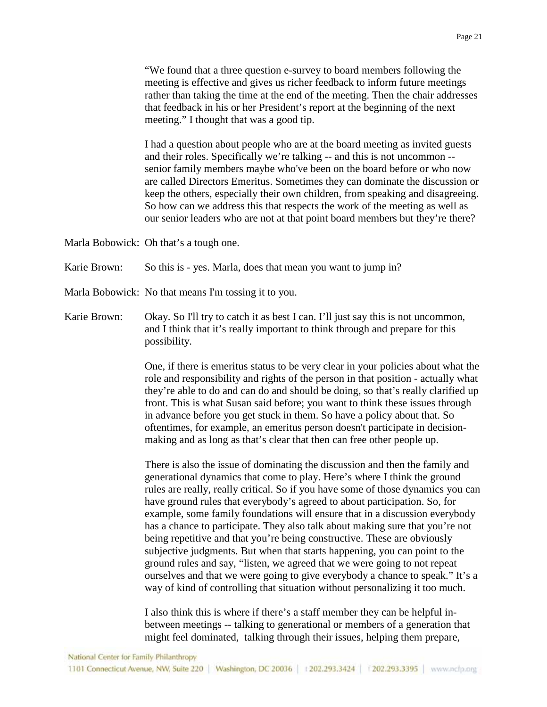I had a question about people who are at the board meeting as invited guests and their roles. Specifically we're talking -- and this is not uncommon - senior family members maybe who've been on the board before or who now are called Directors Emeritus. Sometimes they can dominate the discussion or keep the others, especially their own children, from speaking and disagreeing. So how can we address this that respects the work of the meeting as well as our senior leaders who are not at that point board members but they're there?

Marla Bobowick: Oh that's a tough one.

Karie Brown: So this is - yes. Marla, does that mean you want to jump in?

Marla Bobowick: No that means I'm tossing it to you.

Karie Brown: Okay. So I'll try to catch it as best I can. I'll just say this is not uncommon, and I think that it's really important to think through and prepare for this possibility.

> One, if there is emeritus status to be very clear in your policies about what the role and responsibility and rights of the person in that position - actually what they're able to do and can do and should be doing, so that's really clarified up front. This is what Susan said before; you want to think these issues through in advance before you get stuck in them. So have a policy about that. So oftentimes, for example, an emeritus person doesn't participate in decisionmaking and as long as that's clear that then can free other people up.

> There is also the issue of dominating the discussion and then the family and generational dynamics that come to play. Here's where I think the ground rules are really, really critical. So if you have some of those dynamics you can have ground rules that everybody's agreed to about participation. So, for example, some family foundations will ensure that in a discussion everybody has a chance to participate. They also talk about making sure that you're not being repetitive and that you're being constructive. These are obviously subjective judgments. But when that starts happening, you can point to the ground rules and say, "listen, we agreed that we were going to not repeat ourselves and that we were going to give everybody a chance to speak." It's a way of kind of controlling that situation without personalizing it too much.

I also think this is where if there's a staff member they can be helpful inbetween meetings -- talking to generational or members of a generation that might feel dominated, talking through their issues, helping them prepare,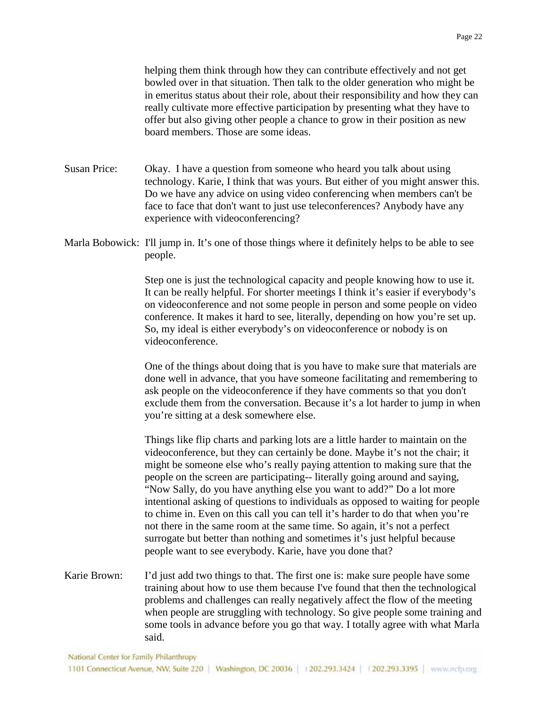helping them think through how they can contribute effectively and not get bowled over in that situation. Then talk to the older generation who might be in emeritus status about their role, about their responsibility and how they can really cultivate more effective participation by presenting what they have to offer but also giving other people a chance to grow in their position as new board members. Those are some ideas.

Susan Price: Okay. I have a question from someone who heard you talk about using technology. Karie, I think that was yours. But either of you might answer this. Do we have any advice on using video conferencing when members can't be face to face that don't want to just use teleconferences? Anybody have any experience with videoconferencing?

Marla Bobowick: I'll jump in. It's one of those things where it definitely helps to be able to see people.

> Step one is just the technological capacity and people knowing how to use it. It can be really helpful. For shorter meetings I think it's easier if everybody's on videoconference and not some people in person and some people on video conference. It makes it hard to see, literally, depending on how you're set up. So, my ideal is either everybody's on videoconference or nobody is on videoconference.

One of the things about doing that is you have to make sure that materials are done well in advance, that you have someone facilitating and remembering to ask people on the videoconference if they have comments so that you don't exclude them from the conversation. Because it's a lot harder to jump in when you're sitting at a desk somewhere else.

Things like flip charts and parking lots are a little harder to maintain on the videoconference, but they can certainly be done. Maybe it's not the chair; it might be someone else who's really paying attention to making sure that the people on the screen are participating-- literally going around and saying, "Now Sally, do you have anything else you want to add?" Do a lot more intentional asking of questions to individuals as opposed to waiting for people to chime in. Even on this call you can tell it's harder to do that when you're not there in the same room at the same time. So again, it's not a perfect surrogate but better than nothing and sometimes it's just helpful because people want to see everybody. Karie, have you done that?

Karie Brown: I'd just add two things to that. The first one is: make sure people have some training about how to use them because I've found that then the technological problems and challenges can really negatively affect the flow of the meeting when people are struggling with technology. So give people some training and some tools in advance before you go that way. I totally agree with what Marla said.

National Center for Family Philanthropy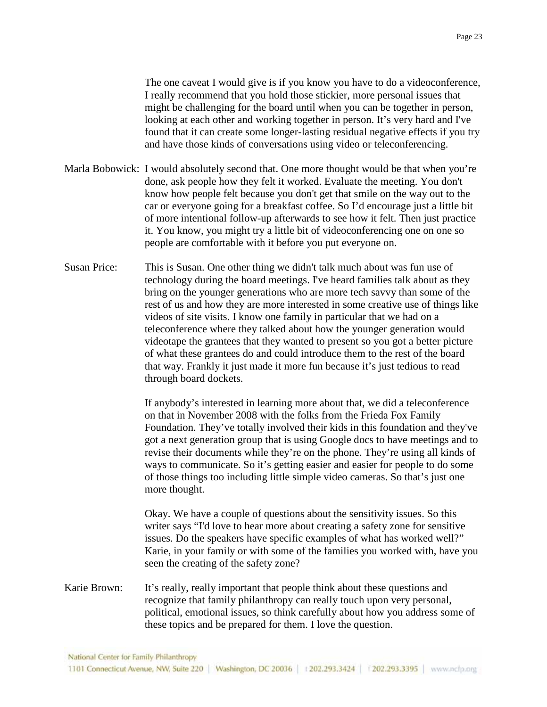The one caveat I would give is if you know you have to do a videoconference, I really recommend that you hold those stickier, more personal issues that might be challenging for the board until when you can be together in person, looking at each other and working together in person. It's very hard and I've found that it can create some longer-lasting residual negative effects if you try and have those kinds of conversations using video or teleconferencing.

- Marla Bobowick: I would absolutely second that. One more thought would be that when you're done, ask people how they felt it worked. Evaluate the meeting. You don't know how people felt because you don't get that smile on the way out to the car or everyone going for a breakfast coffee. So I'd encourage just a little bit of more intentional follow-up afterwards to see how it felt. Then just practice it. You know, you might try a little bit of videoconferencing one on one so people are comfortable with it before you put everyone on.
- Susan Price: This is Susan. One other thing we didn't talk much about was fun use of technology during the board meetings. I've heard families talk about as they bring on the younger generations who are more tech savvy than some of the rest of us and how they are more interested in some creative use of things like videos of site visits. I know one family in particular that we had on a teleconference where they talked about how the younger generation would videotape the grantees that they wanted to present so you got a better picture of what these grantees do and could introduce them to the rest of the board that way. Frankly it just made it more fun because it's just tedious to read through board dockets.

If anybody's interested in learning more about that, we did a teleconference on that in November 2008 with the folks from the Frieda Fox Family Foundation. They've totally involved their kids in this foundation and they've got a next generation group that is using Google docs to have meetings and to revise their documents while they're on the phone. They're using all kinds of ways to communicate. So it's getting easier and easier for people to do some of those things too including little simple video cameras. So that's just one more thought.

Okay. We have a couple of questions about the sensitivity issues. So this writer says "I'd love to hear more about creating a safety zone for sensitive issues. Do the speakers have specific examples of what has worked well?" Karie, in your family or with some of the families you worked with, have you seen the creating of the safety zone?

Karie Brown: It's really, really important that people think about these questions and recognize that family philanthropy can really touch upon very personal, political, emotional issues, so think carefully about how you address some of these topics and be prepared for them. I love the question.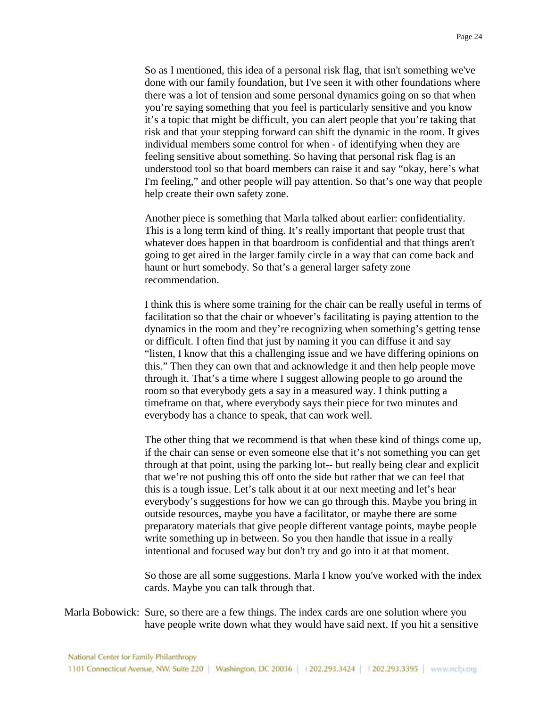So as I mentioned, this idea of a personal risk flag, that isn't something we've done with our family foundation, but I've seen it with other foundations where there was a lot of tension and some personal dynamics going on so that when you're saying something that you feel is particularly sensitive and you know it's a topic that might be difficult, you can alert people that you're taking that risk and that your stepping forward can shift the dynamic in the room. It gives individual members some control for when - of identifying when they are feeling sensitive about something. So having that personal risk flag is an understood tool so that board members can raise it and say "okay, here's what I'm feeling," and other people will pay attention. So that's one way that people help create their own safety zone.

Another piece is something that Marla talked about earlier: confidentiality. This is a long term kind of thing. It's really important that people trust that whatever does happen in that boardroom is confidential and that things aren't going to get aired in the larger family circle in a way that can come back and haunt or hurt somebody. So that's a general larger safety zone recommendation.

I think this is where some training for the chair can be really useful in terms of facilitation so that the chair or whoever's facilitating is paying attention to the dynamics in the room and they're recognizing when something's getting tense or difficult. I often find that just by naming it you can diffuse it and say "listen, I know that this a challenging issue and we have differing opinions on this." Then they can own that and acknowledge it and then help people move through it. That's a time where I suggest allowing people to go around the room so that everybody gets a say in a measured way. I think putting a timeframe on that, where everybody says their piece for two minutes and everybody has a chance to speak, that can work well.

The other thing that we recommend is that when these kind of things come up, if the chair can sense or even someone else that it's not something you can get through at that point, using the parking lot-- but really being clear and explicit that we're not pushing this off onto the side but rather that we can feel that this is a tough issue. Let's talk about it at our next meeting and let's hear everybody's suggestions for how we can go through this. Maybe you bring in outside resources, maybe you have a facilitator, or maybe there are some preparatory materials that give people different vantage points, maybe people write something up in between. So you then handle that issue in a really intentional and focused way but don't try and go into it at that moment.

So those are all some suggestions. Marla I know you've worked with the index cards. Maybe you can talk through that.

Marla Bobowick: Sure, so there are a few things. The index cards are one solution where you have people write down what they would have said next. If you hit a sensitive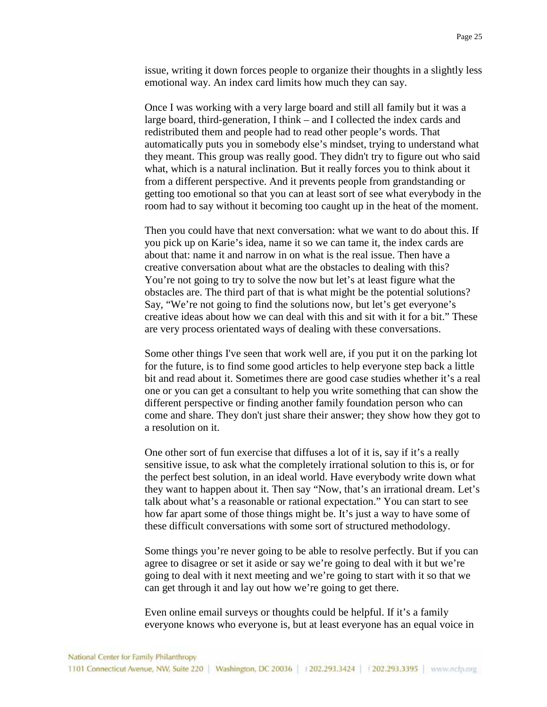issue, writing it down forces people to organize their thoughts in a slightly less emotional way. An index card limits how much they can say.

Once I was working with a very large board and still all family but it was a large board, third-generation, I think – and I collected the index cards and redistributed them and people had to read other people's words. That automatically puts you in somebody else's mindset, trying to understand what they meant. This group was really good. They didn't try to figure out who said what, which is a natural inclination. But it really forces you to think about it from a different perspective. And it prevents people from grandstanding or getting too emotional so that you can at least sort of see what everybody in the room had to say without it becoming too caught up in the heat of the moment.

Then you could have that next conversation: what we want to do about this. If you pick up on Karie's idea, name it so we can tame it, the index cards are about that: name it and narrow in on what is the real issue. Then have a creative conversation about what are the obstacles to dealing with this? You're not going to try to solve the now but let's at least figure what the obstacles are. The third part of that is what might be the potential solutions? Say, "We're not going to find the solutions now, but let's get everyone's creative ideas about how we can deal with this and sit with it for a bit." These are very process orientated ways of dealing with these conversations.

Some other things I've seen that work well are, if you put it on the parking lot for the future, is to find some good articles to help everyone step back a little bit and read about it. Sometimes there are good case studies whether it's a real one or you can get a consultant to help you write something that can show the different perspective or finding another family foundation person who can come and share. They don't just share their answer; they show how they got to a resolution on it.

One other sort of fun exercise that diffuses a lot of it is, say if it's a really sensitive issue, to ask what the completely irrational solution to this is, or for the perfect best solution, in an ideal world. Have everybody write down what they want to happen about it. Then say "Now, that's an irrational dream. Let's talk about what's a reasonable or rational expectation." You can start to see how far apart some of those things might be. It's just a way to have some of these difficult conversations with some sort of structured methodology.

Some things you're never going to be able to resolve perfectly. But if you can agree to disagree or set it aside or say we're going to deal with it but we're going to deal with it next meeting and we're going to start with it so that we can get through it and lay out how we're going to get there.

Even online email surveys or thoughts could be helpful. If it's a family everyone knows who everyone is, but at least everyone has an equal voice in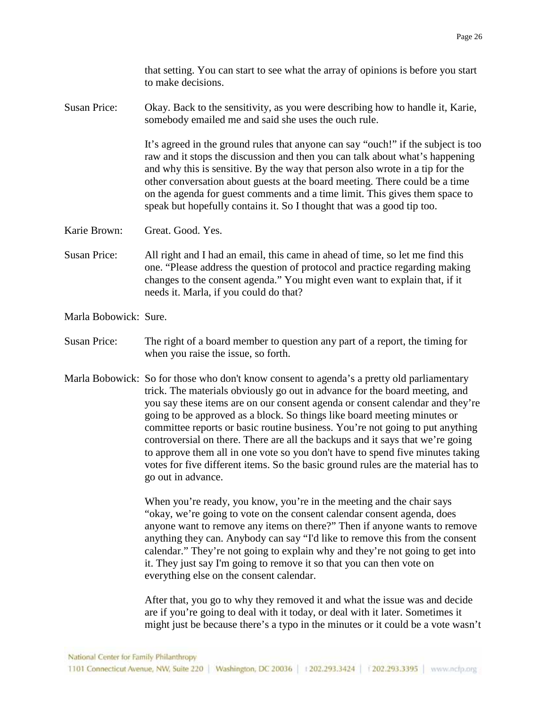that setting. You can start to see what the array of opinions is before you start to make decisions.

Susan Price: Okay. Back to the sensitivity, as you were describing how to handle it, Karie, somebody emailed me and said she uses the ouch rule.

> It's agreed in the ground rules that anyone can say "ouch!" if the subject is too raw and it stops the discussion and then you can talk about what's happening and why this is sensitive. By the way that person also wrote in a tip for the other conversation about guests at the board meeting. There could be a time on the agenda for guest comments and a time limit. This gives them space to speak but hopefully contains it. So I thought that was a good tip too.

Karie Brown: Great. Good. Yes.

Susan Price: All right and I had an email, this came in ahead of time, so let me find this one. "Please address the question of protocol and practice regarding making changes to the consent agenda." You might even want to explain that, if it needs it. Marla, if you could do that?

Marla Bobowick: Sure.

- Susan Price: The right of a board member to question any part of a report, the timing for when you raise the issue, so forth.
- Marla Bobowick: So for those who don't know consent to agenda's a pretty old parliamentary trick. The materials obviously go out in advance for the board meeting, and you say these items are on our consent agenda or consent calendar and they're going to be approved as a block. So things like board meeting minutes or committee reports or basic routine business. You're not going to put anything controversial on there. There are all the backups and it says that we're going to approve them all in one vote so you don't have to spend five minutes taking votes for five different items. So the basic ground rules are the material has to go out in advance.

When you're ready, you know, you're in the meeting and the chair says "okay, we're going to vote on the consent calendar consent agenda, does anyone want to remove any items on there?" Then if anyone wants to remove anything they can. Anybody can say "I'd like to remove this from the consent calendar." They're not going to explain why and they're not going to get into it. They just say I'm going to remove it so that you can then vote on everything else on the consent calendar.

After that, you go to why they removed it and what the issue was and decide are if you're going to deal with it today, or deal with it later. Sometimes it might just be because there's a typo in the minutes or it could be a vote wasn't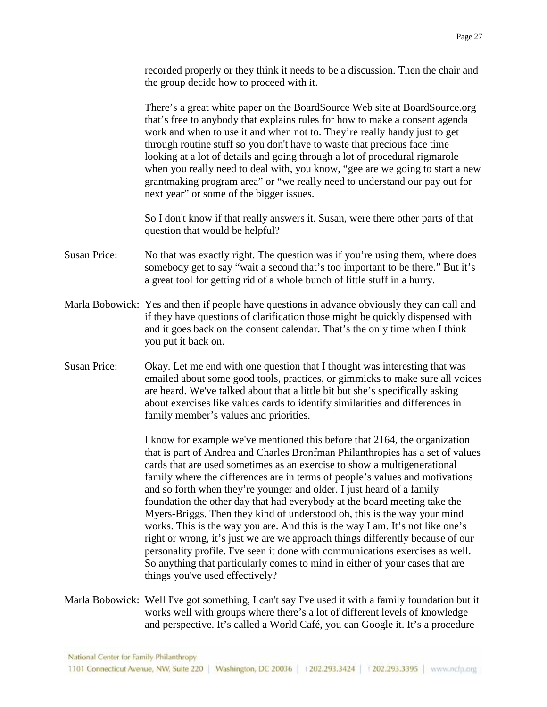recorded properly or they think it needs to be a discussion. Then the chair and the group decide how to proceed with it.

There's a great white paper on the BoardSource Web site at BoardSource.org that's free to anybody that explains rules for how to make a consent agenda work and when to use it and when not to. They're really handy just to get through routine stuff so you don't have to waste that precious face time looking at a lot of details and going through a lot of procedural rigmarole when you really need to deal with, you know, "gee are we going to start a new grantmaking program area" or "we really need to understand our pay out for next year" or some of the bigger issues.

So I don't know if that really answers it. Susan, were there other parts of that question that would be helpful?

- Susan Price: No that was exactly right. The question was if you're using them, where does somebody get to say "wait a second that's too important to be there." But it's a great tool for getting rid of a whole bunch of little stuff in a hurry.
- Marla Bobowick: Yes and then if people have questions in advance obviously they can call and if they have questions of clarification those might be quickly dispensed with and it goes back on the consent calendar. That's the only time when I think you put it back on.
- Susan Price: Okay. Let me end with one question that I thought was interesting that was emailed about some good tools, practices, or gimmicks to make sure all voices are heard. We've talked about that a little bit but she's specifically asking about exercises like values cards to identify similarities and differences in family member's values and priorities.

I know for example we've mentioned this before that 2164, the organization that is part of Andrea and Charles Bronfman Philanthropies has a set of values cards that are used sometimes as an exercise to show a multigenerational family where the differences are in terms of people's values and motivations and so forth when they're younger and older. I just heard of a family foundation the other day that had everybody at the board meeting take the Myers-Briggs. Then they kind of understood oh, this is the way your mind works. This is the way you are. And this is the way I am. It's not like one's right or wrong, it's just we are we approach things differently because of our personality profile. I've seen it done with communications exercises as well. So anything that particularly comes to mind in either of your cases that are things you've used effectively?

Marla Bobowick: Well I've got something, I can't say I've used it with a family foundation but it works well with groups where there's a lot of different levels of knowledge and perspective. It's called a World Café, you can Google it. It's a procedure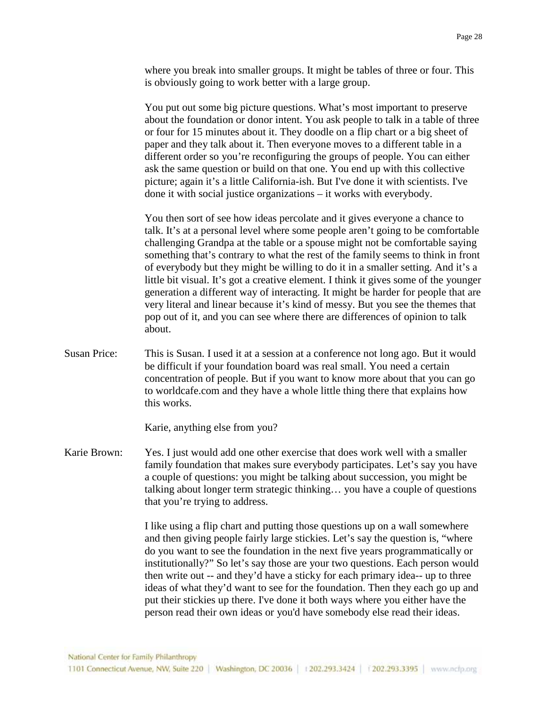where you break into smaller groups. It might be tables of three or four. This is obviously going to work better with a large group.

You put out some big picture questions. What's most important to preserve about the foundation or donor intent. You ask people to talk in a table of three or four for 15 minutes about it. They doodle on a flip chart or a big sheet of paper and they talk about it. Then everyone moves to a different table in a different order so you're reconfiguring the groups of people. You can either ask the same question or build on that one. You end up with this collective picture; again it's a little California-ish. But I've done it with scientists. I've done it with social justice organizations – it works with everybody.

You then sort of see how ideas percolate and it gives everyone a chance to talk. It's at a personal level where some people aren't going to be comfortable challenging Grandpa at the table or a spouse might not be comfortable saying something that's contrary to what the rest of the family seems to think in front of everybody but they might be willing to do it in a smaller setting. And it's a little bit visual. It's got a creative element. I think it gives some of the younger generation a different way of interacting. It might be harder for people that are very literal and linear because it's kind of messy. But you see the themes that pop out of it, and you can see where there are differences of opinion to talk about.

Susan Price: This is Susan. I used it at a session at a conference not long ago. But it would be difficult if your foundation board was real small. You need a certain concentration of people. But if you want to know more about that you can go to worldcafe.com and they have a whole little thing there that explains how this works.

Karie, anything else from you?

Karie Brown: Yes. I just would add one other exercise that does work well with a smaller family foundation that makes sure everybody participates. Let's say you have a couple of questions: you might be talking about succession, you might be talking about longer term strategic thinking… you have a couple of questions that you're trying to address.

> I like using a flip chart and putting those questions up on a wall somewhere and then giving people fairly large stickies. Let's say the question is, "where do you want to see the foundation in the next five years programmatically or institutionally?" So let's say those are your two questions. Each person would then write out -- and they'd have a sticky for each primary idea-- up to three ideas of what they'd want to see for the foundation. Then they each go up and put their stickies up there. I've done it both ways where you either have the person read their own ideas or you'd have somebody else read their ideas.